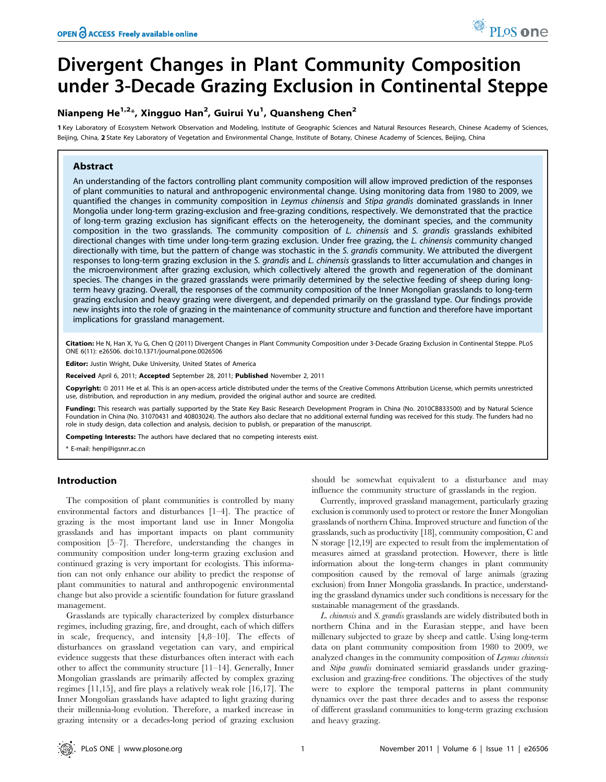# Divergent Changes in Plant Community Composition under 3-Decade Grazing Exclusion in Continental Steppe

# Nianpeng He<sup>1,2</sup>\*, Xingguo Han<sup>2</sup>, Guirui Yu<sup>1</sup>, Quansheng Chen<sup>2</sup>

1 Key Laboratory of Ecosystem Network Observation and Modeling, Institute of Geographic Sciences and Natural Resources Research, Chinese Academy of Sciences, Beijing, China, 2 State Key Laboratory of Vegetation and Environmental Change, Institute of Botany, Chinese Academy of Sciences, Beijing, China

# Abstract

An understanding of the factors controlling plant community composition will allow improved prediction of the responses of plant communities to natural and anthropogenic environmental change. Using monitoring data from 1980 to 2009, we quantified the changes in community composition in Leymus chinensis and Stipa grandis dominated grasslands in Inner Mongolia under long-term grazing-exclusion and free-grazing conditions, respectively. We demonstrated that the practice of long-term grazing exclusion has significant effects on the heterogeneity, the dominant species, and the community composition in the two grasslands. The community composition of L. chinensis and S. grandis grasslands exhibited directional changes with time under long-term grazing exclusion. Under free grazing, the L. chinensis community changed directionally with time, but the pattern of change was stochastic in the S. grandis community. We attributed the divergent responses to long-term grazing exclusion in the S. grandis and L. chinensis grasslands to litter accumulation and changes in the microenvironment after grazing exclusion, which collectively altered the growth and regeneration of the dominant species. The changes in the grazed grasslands were primarily determined by the selective feeding of sheep during longterm heavy grazing. Overall, the responses of the community composition of the Inner Mongolian grasslands to long-term grazing exclusion and heavy grazing were divergent, and depended primarily on the grassland type. Our findings provide new insights into the role of grazing in the maintenance of community structure and function and therefore have important implications for grassland management.

Citation: He N, Han X, Yu G, Chen Q (2011) Divergent Changes in Plant Community Composition under 3-Decade Grazing Exclusion in Continental Steppe. PLoS ONE 6(11): e26506. doi:10.1371/journal.pone.0026506

Editor: Justin Wright, Duke University, United States of America

Received April 6, 2011; Accepted September 28, 2011; Published November 2, 2011

Copyright: © 2011 He et al. This is an open-access article distributed under the terms of the Creative Commons Attribution License, which permits unrestricted use, distribution, and reproduction in any medium, provided the original author and source are credited.

Funding: This research was partially supported by the State Key Basic Research Development Program in China (No. 2010CB833500) and by Natural Science Foundation in China (No. 31070431 and 40803024). The authors also declare that no additional external funding was received for this study. The funders had no role in study design, data collection and analysis, decision to publish, or preparation of the manuscript.

Competing Interests: The authors have declared that no competing interests exist.

\* E-mail: henp@igsnrr.ac.cn

# Introduction

The composition of plant communities is controlled by many environmental factors and disturbances [1–4]. The practice of grazing is the most important land use in Inner Mongolia grasslands and has important impacts on plant community composition [5–7]. Therefore, understanding the changes in community composition under long-term grazing exclusion and continued grazing is very important for ecologists. This information can not only enhance our ability to predict the response of plant communities to natural and anthropogenic environmental change but also provide a scientific foundation for future grassland management.

Grasslands are typically characterized by complex disturbance regimes, including grazing, fire, and drought, each of which differs in scale, frequency, and intensity [4,8–10]. The effects of disturbances on grassland vegetation can vary, and empirical evidence suggests that these disturbances often interact with each other to affect the community structure [11–14]. Generally, Inner Mongolian grasslands are primarily affected by complex grazing regimes [11,15], and fire plays a relatively weak role [16,17]. The Inner Mongolian grasslands have adapted to light grazing during their millennia-long evolution. Therefore, a marked increase in grazing intensity or a decades-long period of grazing exclusion

should be somewhat equivalent to a disturbance and may influence the community structure of grasslands in the region.

Currently, improved grassland management, particularly grazing exclusion is commonly used to protect or restore the Inner Mongolian grasslands of northern China. Improved structure and function of the grasslands, such as productivity [18], community composition, C and N storage [12,19] are expected to result from the implementation of measures aimed at grassland protection. However, there is little information about the long-term changes in plant community composition caused by the removal of large animals (grazing exclusion) from Inner Mongolia grasslands. In practice, understanding the grassland dynamics under such conditions is necessary for the sustainable management of the grasslands.

L. chinensis and S. grandis grasslands are widely distributed both in northern China and in the Eurasian steppe, and have been millenary subjected to graze by sheep and cattle. Using long-term data on plant community composition from 1980 to 2009, we analyzed changes in the community composition of Leymus chinensis and Stipa grandis dominated semiarid grasslands under grazingexclusion and grazing-free conditions. The objectives of the study were to explore the temporal patterns in plant community dynamics over the past three decades and to assess the response of different grassland communities to long-term grazing exclusion and heavy grazing.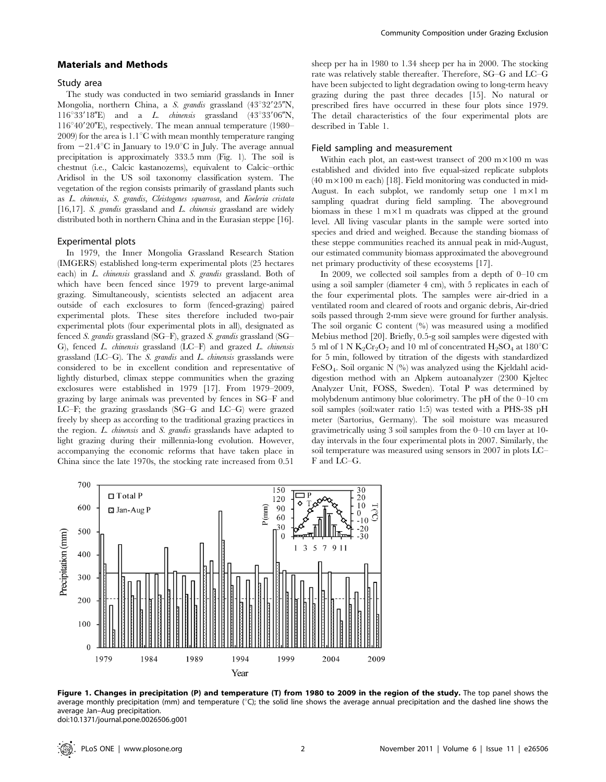## Materials and Methods

#### Study area

The study was conducted in two semiarid grasslands in Inner Mongolia, northern China, a S. grandis grassland  $(43^{\circ}32'25''N,$  $116°33'18"E$  and a *L. chinensis* grassland  $(43°33'06"N,$  $116^{\circ}40'20''$ E), respectively. The mean annual temperature (1980– 2009) for the area is  $1.1^{\circ}$ C with mean monthly temperature ranging from  $-21.4\textdegree C$  in January to 19.0 $\textdegree C$  in July. The average annual precipitation is approximately 333.5 mm (Fig. 1). The soil is chestnut (i.e., Calcic kastanozems), equivalent to Calcic–orthic Aridisol in the US soil taxonomy classification system. The vegetation of the region consists primarily of grassland plants such as L. chinensis, S. grandis, Cleistogenes squarrosa, and Koeleria cristata [16,17]. S. grandis grassland and  $L$ . chinensis grassland are widely distributed both in northern China and in the Eurasian steppe [16].

#### Experimental plots

In 1979, the Inner Mongolia Grassland Research Station (IMGERS) established long-term experimental plots (25 hectares each) in L. chinensis grassland and S. grandis grassland. Both of which have been fenced since 1979 to prevent large-animal grazing. Simultaneously, scientists selected an adjacent area outside of each exclosures to form (fenced-grazing) paired experimental plots. These sites therefore included two-pair experimental plots (four experimental plots in all), designated as fenced S. grandis grassland (SG–F), grazed S. grandis grassland (SG– G), fenced  $L$ . *chinensis* grassland  $(LC-F)$  and grazed  $L$ . *chinensis* grassland  $(LC–G)$ . The *S. grandis* and *L. chinensis* grasslands were considered to be in excellent condition and representative of lightly disturbed, climax steppe communities when the grazing exclosures were established in 1979 [17]. From 1979–2009, grazing by large animals was prevented by fences in SG–F and LC–F; the grazing grasslands (SG–G and LC–G) were grazed freely by sheep as according to the traditional grazing practices in the region. L. chinensis and S. grandis grasslands have adapted to light grazing during their millennia-long evolution. However, accompanying the economic reforms that have taken place in China since the late 1970s, the stocking rate increased from 0.51

sheep per ha in 1980 to 1.34 sheep per ha in 2000. The stocking rate was relatively stable thereafter. Therefore, SG–G and LC–G have been subjected to light degradation owing to long-term heavy grazing during the past three decades [15]. No natural or prescribed fires have occurred in these four plots since 1979. The detail characteristics of the four experimental plots are described in Table 1.

#### Field sampling and measurement

Within each plot, an east-west transect of  $200 \text{ m} \times 100 \text{ m}$  was established and divided into five equal-sized replicate subplots  $(40 \text{ m} \times 100 \text{ m}$  each) [18]. Field monitoring was conducted in mid-August. In each subplot, we randomly setup one  $1 \text{ m} \times 1 \text{ m}$ sampling quadrat during field sampling. The aboveground biomass in these  $1 \text{ m} \times 1 \text{ m}$  quadrats was clipped at the ground level. All living vascular plants in the sample were sorted into species and dried and weighed. Because the standing biomass of these steppe communities reached its annual peak in mid-August, our estimated community biomass approximated the aboveground net primary productivity of these ecosystems [17].

In 2009, we collected soil samples from a depth of 0–10 cm using a soil sampler (diameter 4 cm), with 5 replicates in each of the four experimental plots. The samples were air-dried in a ventilated room and cleared of roots and organic debris, Air-dried soils passed through 2-mm sieve were ground for further analysis. The soil organic C content (%) was measured using a modified Mebius method [20]. Briefly, 0.5-g soil samples were digested with 5 ml of 1 N  $K_2Cr_2O_7$  and 10 ml of concentrated  $H_2SO_4$  at 180<sup>°</sup>C for 5 min, followed by titration of the digests with standardized FeSO4. Soil organic N (%) was analyzed using the Kjeldahl aciddigestion method with an Alpkem autoanalyzer (2300 Kjeltec Analyzer Unit, FOSS, Sweden). Total P was determined by molybdenum antimony blue colorimetry. The pH of the 0–10 cm soil samples (soil:water ratio 1:5) was tested with a PHS-3S pH meter (Sartorius, Germany). The soil moisture was measured gravimetrically using 3 soil samples from the 0–10 cm layer at 10 day intervals in the four experimental plots in 2007. Similarly, the soil temperature was measured using sensors in 2007 in plots LC– F and LC–G.



Figure 1. Changes in precipitation (P) and temperature (T) from 1980 to 2009 in the region of the study. The top panel shows the average monthly precipitation (mm) and temperature ( $\degree$ C); the solid line shows the average annual precipitation and the dashed line shows the average Jan–Aug precipitation. doi:10.1371/journal.pone.0026506.g001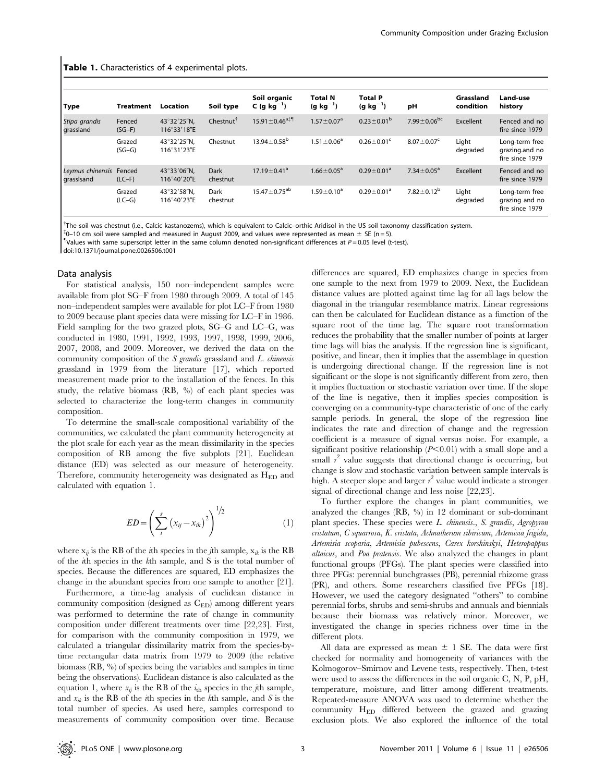#### Table 1. Characteristics of 4 experimental plots.

| <b>Type</b>                           | <b>Treatment</b>   | Location                   | Soil type               | Soil organic<br>C (g kg <sup>-1</sup> ) | <b>Total N</b><br>$(g kg^{-1})$ | <b>Total P</b><br>(g $kg^{-1}$ ) | рH                           | Grassland<br>condition | Land-use<br>history                                 |
|---------------------------------------|--------------------|----------------------------|-------------------------|-----------------------------------------|---------------------------------|----------------------------------|------------------------------|------------------------|-----------------------------------------------------|
| Stipa grandis<br>grassland            | Fenced<br>$(SG-F)$ | 43°32'25"N.<br>116°33'18"E | Chestnut <sup>1</sup>   | $15.91 \pm 0.46$ <sup>a‡¶</sup>         | $1.57 \pm 0.07^a$               | $0.23 \pm 0.01^{\rm b}$          | $7.99 \pm 0.06^{bc}$         | Excellent              | Fenced and no<br>fire since 1979                    |
|                                       | Grazed<br>$(SG-G)$ | 43°32'25"N.<br>116°31'23"E | Chestnut                | $13.94 \pm 0.58$ <sup>b</sup>           | $1.51 \pm 0.06^a$               | $0.26 \pm 0.01$ <sup>c</sup>     | $8.07 \pm 0.07$ <sup>c</sup> | Light<br>degraded      | Long-term free<br>grazing.and no<br>fire since 1979 |
| Leymus chinensis Fenced<br>grassIsand | $(LC-F)$           | 43°33'06"N.<br>116°40'20"E | <b>Dark</b><br>chestnut | $17.19 \pm 0.41^a$                      | $1.66 \pm 0.05^{\circ}$         | $0.29 \pm 0.01^a$                | $7.34 \pm 0.05^a$            | Excellent              | Fenced and no<br>fire since 1979                    |
|                                       | Grazed<br>$(LC-G)$ | 43°32'58"N.<br>116°40'23"E | Dark<br>chestnut        | $15.47 \pm 0.75^{ab}$                   | $1.59 \pm 0.10^a$               | $0.29 \pm 0.01^a$                | $7.82 \pm 0.12^b$            | Light<br>degraded      | Long-term free<br>grazing and no<br>fire since 1979 |

{ The soil was chestnut (i.e., Calcic kastanozems), which is equivalent to Calcic–orthic Aridisol in the US soil taxonomy classification system.

 $\binom{1}{0}$  cm soil were sampled and measured in August 2009, and values were represented as mean  $\pm$  SE (n = 5).

Values with same superscript letter in the same column denoted non-significant differences at  $P = 0.05$  level (t-test).

doi:10.1371/journal.pone.0026506.t001

#### Data analysis

For statistical analysis, 150 non–independent samples were available from plot SG–F from 1980 through 2009. A total of 145 non–independent samples were available for plot LC–F from 1980 to 2009 because plant species data were missing for LC–F in 1986. Field sampling for the two grazed plots, SG–G and LC–G, was conducted in 1980, 1991, 1992, 1993, 1997, 1998, 1999, 2006, 2007, 2008, and 2009. Moreover, we derived the data on the community composition of the  $S$  grandis grassland and  $L$ . chinensis grassland in 1979 from the literature [17], which reported measurement made prior to the installation of the fences. In this study, the relative biomass (RB, %) of each plant species was selected to characterize the long-term changes in community composition.

To determine the small-scale compositional variability of the communities, we calculated the plant community heterogeneity at the plot scale for each year as the mean dissimilarity in the species composition of RB among the five subplots [21]. Euclidean distance (ED) was selected as our measure of heterogeneity. Therefore, community heterogeneity was designated as HED and calculated with equation 1.

$$
ED = \left(\sum_{i}^{s} (x_{ij} - x_{ik})^{2}\right)^{1/2}
$$
 (1)

where  $x_{ij}$  is the RB of the *i*th species in the *j*th sample,  $x_{ik}$  is the RB of the ith species in the kth sample, and S is the total number of species. Because the differences are squared, ED emphasizes the change in the abundant species from one sample to another [21].

Furthermore, a time-lag analysis of euclidean distance in community composition (designed as  $C_{ED}$ ) among different years was performed to determine the rate of change in community composition under different treatments over time [22,23]. First, for comparison with the community composition in 1979, we calculated a triangular dissimilarity matrix from the species-bytime rectangular data matrix from 1979 to 2009 (the relative biomass (RB, %) of species being the variables and samples in time being the observations). Euclidean distance is also calculated as the equation 1, where  $x_{ij}$  is the RB of the  $i_{th}$  species in the jth sample, and  $x_{ik}$  is the RB of the *i*th species in the *k*th sample, and *S* is the total number of species. As used here, samples correspond to measurements of community composition over time. Because

differences are squared, ED emphasizes change in species from one sample to the next from 1979 to 2009. Next, the Euclidean distance values are plotted against time lag for all lags below the diagonal in the triangular resemblance matrix. Linear regressions can then be calculated for Euclidean distance as a function of the square root of the time lag. The square root transformation reduces the probability that the smaller number of points at larger time lags will bias the analysis. If the regression line is significant, positive, and linear, then it implies that the assemblage in question is undergoing directional change. If the regression line is not significant or the slope is not significantly different from zero, then it implies fluctuation or stochastic variation over time. If the slope of the line is negative, then it implies species composition is converging on a community-type characteristic of one of the early sample periods. In general, the slope of the regression line indicates the rate and direction of change and the regression coefficient is a measure of signal versus noise. For example, a significant positive relationship  $(P<0.01)$  with a small slope and a small  $r^2$  value suggests that directional change is occurring, but change is slow and stochastic variation between sample intervals is high. A steeper slope and larger  $r^2$  value would indicate a stronger signal of directional change and less noise [22,23].

To further explore the changes in plant communities, we analyzed the changes (RB, %) in 12 dominant or sub-dominant plant species. These species were L. chinensis., S. grandis, Agropyron cristatum, C squarrosa, K. cristata, Achnatherum sibiricum, Artemisia frigida, Artemisia scoparia, Artemisia pubescens, Carex korshinskyi, Heteropappus altaicus, and Poa pratensis. We also analyzed the changes in plant functional groups (PFGs). The plant species were classified into three PFGs: perennial bunchgrasses (PB), perennial rhizome grass (PR), and others. Some researchers classified five PFGs [18]. However, we used the category designated ''others'' to combine perennial forbs, shrubs and semi-shrubs and annuals and biennials because their biomass was relatively minor. Moreover, we investigated the change in species richness over time in the different plots.

All data are expressed as mean  $\pm$  1 SE. The data were first checked for normality and homogeneity of variances with the Kolmogorov–Smirnov and Levene tests, respectively. Then, t-test were used to assess the differences in the soil organic C, N, P, pH, temperature, moisture, and litter among different treatments. Repeated-measure ANOVA was used to determine whether the community H<sub>ED</sub> differed between the grazed and grazing exclusion plots. We also explored the influence of the total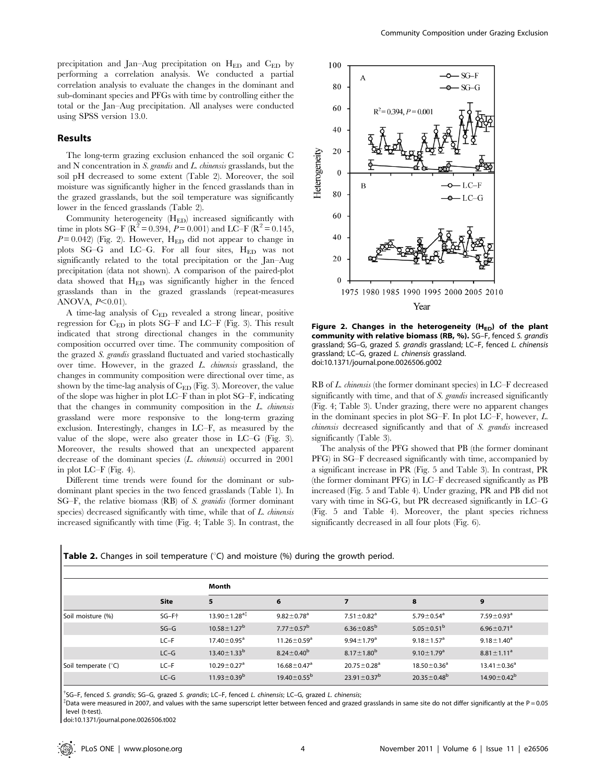precipitation and Jan–Aug precipitation on  $H_{ED}$  and  $C_{ED}$  by performing a correlation analysis. We conducted a partial correlation analysis to evaluate the changes in the dominant and sub-dominant species and PFGs with time by controlling either the total or the Jan–Aug precipitation. All analyses were conducted using SPSS version 13.0.

# Results

The long-term grazing exclusion enhanced the soil organic C and N concentration in S. grandis and L. chinensis grasslands, but the soil pH decreased to some extent (Table 2). Moreover, the soil moisture was significantly higher in the fenced grasslands than in the grazed grasslands, but the soil temperature was significantly lower in the fenced grasslands (Table 2).

Community heterogeneity  $(H_{ED})$  increased significantly with time in plots SG–F ( $\mathbb{R}^2 = 0.394$ ,  $P = 0.001$ ) and LC–F ( $\mathbb{R}^2 = 0.145$ ,  $P=0.042$ ) (Fig. 2). However, H<sub>ED</sub> did not appear to change in plots SG–G and LC–G. For all four sites, HED was not significantly related to the total precipitation or the Jan–Aug precipitation (data not shown). A comparison of the paired-plot data showed that  $H_{ED}$  was significantly higher in the fenced grasslands than in the grazed grasslands (repeat-measures ANOVA,  $P<0.01$ ).

A time-lag analysis of CED revealed a strong linear, positive regression for CED in plots SG–F and LC–F (Fig. 3). This result indicated that strong directional changes in the community composition occurred over time. The community composition of the grazed S. grandis grassland fluctuated and varied stochastically over time. However, in the grazed L. chinensis grassland, the changes in community composition were directional over time, as shown by the time-lag analysis of  $C_{ED}$  (Fig. 3). Moreover, the value of the slope was higher in plot LC–F than in plot SG–F, indicating that the changes in community composition in the L. chinensis grassland were more responsive to the long-term grazing exclusion. Interestingly, changes in LC–F, as measured by the value of the slope, were also greater those in LC–G (Fig. 3). Moreover, the results showed that an unexpected apparent decrease of the dominant species (L. chinensis) occurred in 2001 in plot LC–F (Fig. 4).

Different time trends were found for the dominant or subdominant plant species in the two fenced grasslands (Table 1). In SG–F, the relative biomass (RB) of S. granidis (former dominant species) decreased significantly with time, while that of L. chinensis increased significantly with time (Fig. 4; Table 3). In contrast, the



Figure 2. Changes in the heterogeneity  $(H_{ED})$  of the plant community with relative biomass (RB, %). SG–F, fenced S. grandis grassland; SG–G, grazed S. grandis grassland; LC–F, fenced L. chinensis grassland; LC–G, grazed L. chinensis grassland. doi:10.1371/journal.pone.0026506.g002

RB of L. chinensis (the former dominant species) in LC–F decreased significantly with time, and that of S. grandis increased significantly (Fig. 4; Table 3). Under grazing, there were no apparent changes in the dominant species in plot SG–F. In plot LC–F, however, L. chinensis decreased significantly and that of S. grandis increased significantly (Table 3).

The analysis of the PFG showed that PB (the former dominant PFG) in SG–F decreased significantly with time, accompanied by a significant increase in PR (Fig. 5 and Table 3). In contrast, PR (the former dominant PFG) in LC–F decreased significantly as PB increased (Fig. 5 and Table 4). Under grazing, PR and PB did not vary with time in SG-G, but PR decreased significantly in LC–G (Fig. 5 and Table 4). Moreover, the plant species richness significantly decreased in all four plots (Fig. 6).

| <b>Table 2.</b> Changes in soil temperature $(^{\circ}C)$ and moisture $(\%)$ during the growth period. |  |  |  |
|---------------------------------------------------------------------------------------------------------|--|--|--|
|---------------------------------------------------------------------------------------------------------|--|--|--|

|                     |             | Month                                              |                               |                               |                              |                              |  |  |  |
|---------------------|-------------|----------------------------------------------------|-------------------------------|-------------------------------|------------------------------|------------------------------|--|--|--|
|                     | <b>Site</b> | 5                                                  | 6                             |                               | 8                            | 9                            |  |  |  |
| Soil moisture (%)   | SG-Ft       | $13.90 \pm 1.28$ <sup>a<math>\ddagger</math></sup> | $9.82 \pm 0.78$ <sup>a</sup>  | $7.51 \pm 0.82$ <sup>a</sup>  | 5.79 $\pm$ 0.54 $a$          | $7.59 \pm 0.93$ <sup>a</sup> |  |  |  |
|                     | $SG-G$      | $10.58 \pm 1.27^{\rm b}$                           | $7.77 \pm 0.57^{\rm b}$       | $6.36 \pm 0.85^{\rm b}$       | 5.05 $\pm$ 0.51 <sup>b</sup> | $6.96 \pm 0.71$ <sup>a</sup> |  |  |  |
|                     | $LC-F$      | $17.40 \pm 0.95^{\text{a}}$                        | $11.26 \pm 0.59^a$            | $9.94 \pm 1.79$ <sup>a</sup>  | $9.18 \pm 1.57^{\circ}$      | $9.18 \pm 1.40^a$            |  |  |  |
|                     | $LC-G$      | $13.40 \pm 1.33^b$                                 | $8.24 \pm 0.40^b$             | $8.17 \pm 1.80^b$             | $9.10 \pm 1.79$ <sup>a</sup> | $8.81 \pm 1.11^a$            |  |  |  |
| Soil temperate (°C) | $LC-F$      | $10.29 \pm 0.27$ <sup>a</sup>                      | $16.68 \pm 0.47$ <sup>a</sup> | $20.75 \pm 0.28$ <sup>a</sup> | $18.50 \pm 0.36^a$           | $13.41 \pm 0.36^a$           |  |  |  |
|                     | $LC-G$      | $11.93 \pm 0.39^b$                                 | $19.40 \pm 0.55^{\rm b}$      | $23.91 \pm 0.37^{\rm b}$      | $20.35 \pm 0.48^{\rm b}$     | $14.90 \pm 0.42^b$           |  |  |  |

{ SG–F, fenced S. grandis; SG–G, grazed S. grandis; LC–F, fenced L. chinensis; LC–G, grazed L. chinensis; {

 $^{\ddagger}$ Data were measured in 2007, and values with the same superscript letter between fenced and grazed grasslands in same site do not differ significantly at the P = 0.05 level (t-test).

doi:10.1371/journal.pone.0026506.t002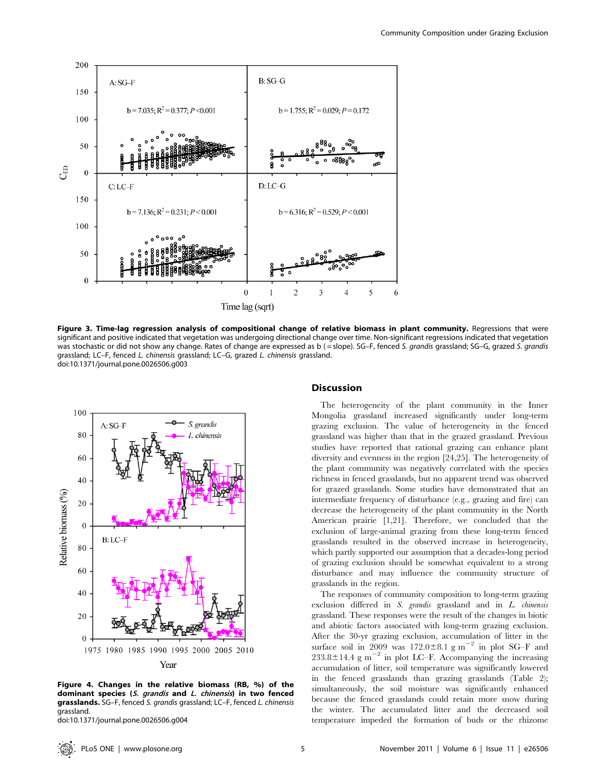

Figure 3. Time-lag regression analysis of compositional change of relative biomass in plant community. Regressions that were significant and positive indicated that vegetation was undergoing directional change over time. Non-significant regressions indicated that vegetation was stochastic or did not show any change. Rates of change are expressed as b (= slope). SG–F, fenced S. grandis grassland; SG–G, grazed S. grandis grassland; LC–F, fenced L. chinensis grassland; LC–G, grazed L. chinensis grassland. doi:10.1371/journal.pone.0026506.g003



Figure 4. Changes in the relative biomass (RB, %) of the dominant species (S. grandis and L. chinensis) in two fenced grasslands. SG-F, fenced S. grandis grassland; LC-F, fenced L. chinensis grassland.

doi:10.1371/journal.pone.0026506.g004

#### **Discussion**

The heterogeneity of the plant community in the Inner Mongolia grassland increased significantly under long-term grazing exclusion. The value of heterogeneity in the fenced grassland was higher than that in the grazed grassland. Previous studies have reported that rational grazing can enhance plant diversity and evenness in the region [24,25]. The heterogeneity of the plant community was negatively correlated with the species richness in fenced grasslands, but no apparent trend was observed for grazed grasslands. Some studies have demonstrated that an intermediate frequency of disturbance (e.g., grazing and fire) can decrease the heterogeneity of the plant community in the North American prairie [1,21]. Therefore, we concluded that the exclusion of large-animal grazing from these long-term fenced grasslands resulted in the observed increase in heterogeneity, which partly supported our assumption that a decades-long period of grazing exclusion should be somewhat equivalent to a strong disturbance and may influence the community structure of grasslands in the region.

The responses of community composition to long-term grazing exclusion differed in S. grandis grassland and in L. chinensis grassland. These responses were the result of the changes in biotic and abiotic factors associated with long-term grazing exclusion. After the 30-yr grazing exclusion, accumulation of litter in the surface soil in 2009 was  $172.0\pm8.1$  g m<sup>-2</sup> in plot SG–F and  $233.8 \pm 14.4$  g m<sup>-2</sup> in plot LC–F. Accompanying the increasing accumulation of litter, soil temperature was significantly lowered in the fenced grasslands than grazing grasslands (Table 2); simultaneously, the soil moisture was significantly enhanced because the fenced grasslands could retain more snow during the winter. The accumulated litter and the decreased soil temperature impeded the formation of buds or the rhizome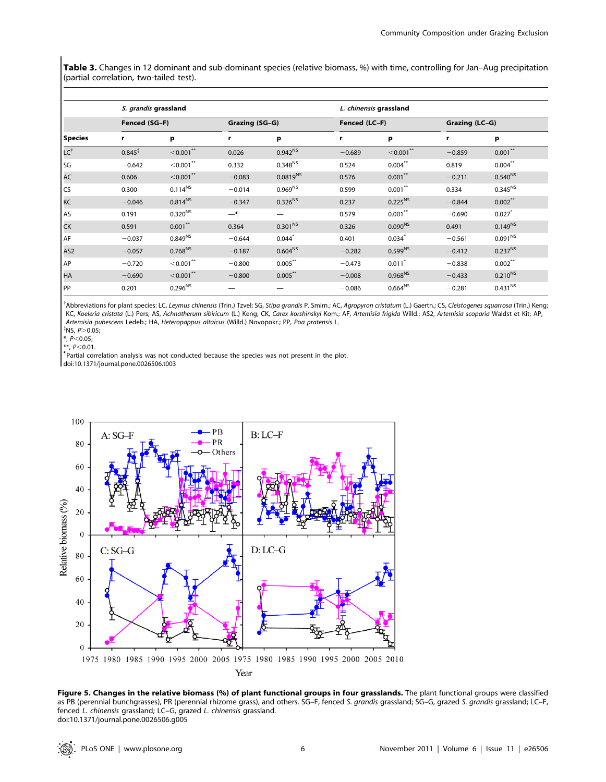Table 3. Changes in 12 dominant and sub-dominant species (relative biomass, %) with time, controlling for Jan–Aug precipitation (partial correlation, two-tailed test).

| <b>Species</b>  | S. grandis grassland |                         |                |                     | L. chinensis grassland |              |                |              |  |
|-----------------|----------------------|-------------------------|----------------|---------------------|------------------------|--------------|----------------|--------------|--|
|                 | Fenced (SG-F)        |                         | Grazing (SG-G) |                     | Fenced (LC-F)          |              | Grazing (LC-G) |              |  |
|                 | r                    | p                       | r              | p                   | r                      | p            | r              | р            |  |
| $LC^{\dagger}$  | $0.845*$             | $< 0.001$ **            | 0.026          | $0.942^{NS}$        | $-0.689$               | $<$ 0.001**  | $-0.859$       | $0.001***$   |  |
| SG              | $-0.642$             | $<$ 0.001 $*$           | 0.332          | $0.348^{NS}$        | 0.524                  | $0.004***$   | 0.819          | $0.004***$   |  |
| <b>AC</b>       | 0.606                | $< 0.001$ **            | $-0.083$       | $0.0819^{NS}$       | 0.576                  | $0.001***$   | $-0.211$       | $0.540^{NS}$ |  |
| CS              | 0.300                | $0.114^{NS}$            | $-0.014$       | $0.969^{NS}$        | 0.599                  | $0.001***$   | 0.334          | $0.345^{NS}$ |  |
| KC              | $-0.046$             | $0.814^{NS}$            | $-0.347$       | $0.326^{NS}$        | 0.237                  | $0.225^{NS}$ | $-0.844$       | $0.002***$   |  |
| AS              | 0.191                | $0.320^{NS}$            | $-\mathbf{I}$  |                     | 0.579                  | $0.001***$   | $-0.690$       | $0.027$ *    |  |
| <b>CK</b>       | 0.591                | $0.001***$              | 0.364          | 0.301 <sup>NS</sup> | 0.326                  | $0.090^{NS}$ | 0.491          | $0.149^{NS}$ |  |
| AF              | $-0.037$             | $0.849^{NS}$            | $-0.644$       | $0.044*$            | 0.401                  | $0.034*$     | $-0.561$       | $0.091^{NS}$ |  |
| AS <sub>2</sub> | $-0.057$             | $0.768^{NS}$            | $-0.187$       | $0.604^{NS}$        | $-0.282$               | $0.599^{NS}$ | $-0.412$       | $0.237^{NS}$ |  |
| AP              | $-0.720$             | $<$ 0.001 $^{\ast\ast}$ | $-0.800$       | $0.005***$          | $-0.473$               | 0.011        | $-0.838$       | $0.002***$   |  |
| <b>HA</b>       | $-0.690$             | $< 0.001$ **            | $-0.800$       | $0.005***$          | $-0.008$               | $0.968^{NS}$ | $-0.433$       | $0.210^{NS}$ |  |
| PP              | 0.201                | $0.296^{NS}$            |                |                     | $-0.086$               | $0.664^{NS}$ | $-0.281$       | $0.431^{NS}$ |  |

<sup>†</sup>Abbreviations for plant species: LC, Leymus chinensis (Trin.) Tzvel; SG, Stipa grandis P. Smirn.; AC, Agropyron cristatum (L.) Gaertn.; CS, Cleistogenes squarrosa (Trin.) Keng; KC, Koeleria cristata (L.) Pers; AS, Achnatherum sibiricum (L.) Keng; CK, Carex korshinskyi Kom.; AF, Artemisia frigida Willd.; AS2, Artemisia scoparia Waldst et Kit; AP, Artemisia pubescens Ledeb.; HA, Heteropappus altaicus (Willd.) Novopokr.; PP, Poa pratensis L. {

 $*$ NS,  $P > 0.05$ ;

\*,  $P<0.05$ ;<br>\*\*,  $P<0.01$ .

 $^{**}$ , P<0.01.<br>"Partial correlation analysis was not conducted because the species was not present in the plot. doi:10.1371/journal.pone.0026506.t003



Figure 5. Changes in the relative biomass (%) of plant functional groups in four grasslands. The plant functional groups were classified as PB (perennial bunchgrasses), PR (perennial rhizome grass), and others. SG–F, fenced S. grandis grassland; SG–G, grazed S. grandis grassland; LC–F, fenced L. chinensis grassland; LC–G, grazed L. chinensis grassland. doi:10.1371/journal.pone.0026506.g005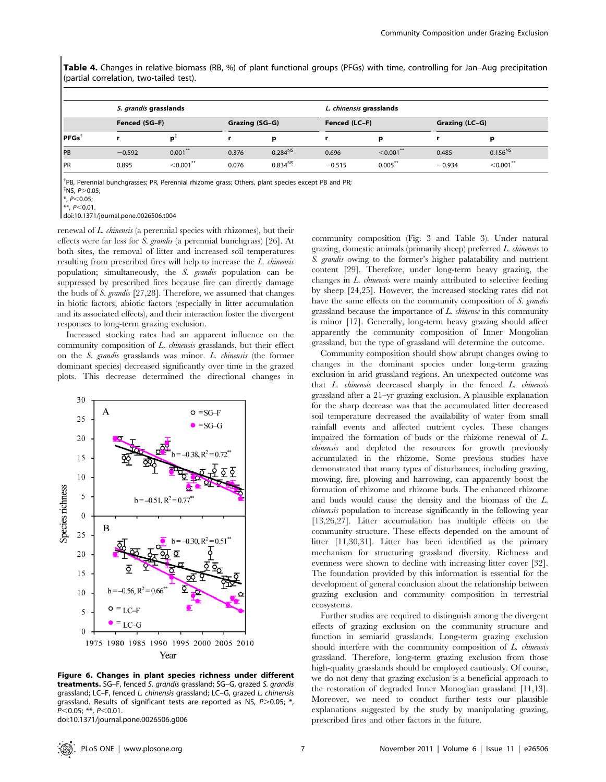Table 4. Changes in relative biomass (RB, %) of plant functional groups (PFGs) with time, controlling for Jan–Aug precipitation (partial correlation, two-tailed test).

|            |               | S. grandis grasslands |       |                |          | L. chinensis grasslands |          |                |  |
|------------|---------------|-----------------------|-------|----------------|----------|-------------------------|----------|----------------|--|
|            | Fenced (SG-F) |                       |       | Grazing (SG-G) |          | Fenced (LC-F)           |          | Grazing (LC-G) |  |
| PFGs       |               |                       |       | D              |          | D                       |          | D              |  |
| PB         | $-0.592$      | $0.001***$            | 0.376 | $0.284^{NS}$   | 0.696    | $<$ 0.001**             | 0.485    | $0.156^{NS}$   |  |
| <b>IPR</b> | 0.895         | $<$ 0.001 $*$         | 0.076 | $0.834^{NS}$   | $-0.515$ | $0.005***$              | $-0.934$ | $<$ 0.001 $*$  |  |

<sup>†</sup>PB, Perennial bunchgrasses; PR, Perennial rhizome grass; Others, plant species except PB and PR;  $\sqrt[4]{5}$ NS, P $>$ 0.05;

 $**$ , P<0.01.

doi:10.1371/journal.pone.0026506.t004

renewal of L. chinensis (a perennial species with rhizomes), but their effects were far less for S. grandis (a perennial bunchgrass) [26]. At both sites, the removal of litter and increased soil temperatures resulting from prescribed fires will help to increase the L. chinensis population; simultaneously, the S. grandis population can be suppressed by prescribed fires because fire can directly damage the buds of S. grandis [27,28]. Therefore, we assumed that changes in biotic factors, abiotic factors (especially in litter accumulation and its associated effects), and their interaction foster the divergent responses to long-term grazing exclusion.

Increased stocking rates had an apparent influence on the community composition of L. chinensis grasslands, but their effect on the S. grandis grasslands was minor. L. chinensis (the former dominant species) decreased significantly over time in the grazed plots. This decrease determined the directional changes in



Figure 6. Changes in plant species richness under different treatments. SG-F, fenced S. grandis grassland; SG-G, grazed S. grandis grassland; LC–F, fenced L. chinensis grassland; LC–G, grazed L. chinensis grassland. Results of significant tests are reported as NS,  $P > 0.05$ ;  $*$ ,  $P<0.05$ ; \*\*,  $P<0.01$ .

doi:10.1371/journal.pone.0026506.g006

community composition (Fig. 3 and Table 3). Under natural grazing, domestic animals (primarily sheep) preferred L. chinensis to S. grandis owing to the former's higher palatability and nutrient content [29]. Therefore, under long-term heavy grazing, the changes in L. chinensis were mainly attributed to selective feeding by sheep [24,25]. However, the increased stocking rates did not have the same effects on the community composition of S. grandis grassland because the importance of  $L$ . *chinense* in this community is minor [17]. Generally, long-term heavy grazing should affect apparently the community composition of Inner Mongolian grassland, but the type of grassland will determine the outcome.

Community composition should show abrupt changes owing to changes in the dominant species under long-term grazing exclusion in arid grassland regions. An unexpected outcome was that L. chinensis decreased sharply in the fenced L. chinensis grassland after a 21–yr grazing exclusion. A plausible explanation for the sharp decrease was that the accumulated litter decreased soil temperature decreased the availability of water from small rainfall events and affected nutrient cycles. These changes impaired the formation of buds or the rhizome renewal of L. chinensis and depleted the resources for growth previously accumulated in the rhizome. Some previous studies have demonstrated that many types of disturbances, including grazing, mowing, fire, plowing and harrowing, can apparently boost the formation of rhizome and rhizome buds. The enhanced rhizome and buds would cause the density and the biomass of the L. chinensis population to increase significantly in the following year [13,26,27]. Litter accumulation has multiple effects on the community structure. These effects depended on the amount of litter [11,30,31]. Litter has been identified as the primary mechanism for structuring grassland diversity. Richness and evenness were shown to decline with increasing litter cover [32]. The foundation provided by this information is essential for the development of general conclusion about the relationship between grazing exclusion and community composition in terrestrial ecosystems.

Further studies are required to distinguish among the divergent effects of grazing exclusion on the community structure and function in semiarid grasslands. Long-term grazing exclusion should interfere with the community composition of  $L$  *chinensis* grassland. Therefore, long-term grazing exclusion from those high-quality grasslands should be employed cautiously. Of course, we do not deny that grazing exclusion is a beneficial approach to the restoration of degraded Inner Monoglian grassland [11,13]. Moreover, we need to conduct further tests our plausible explanations suggested by the study by manipulating grazing, prescribed fires and other factors in the future.

 $*$ ,  $P < 0.05$ ;